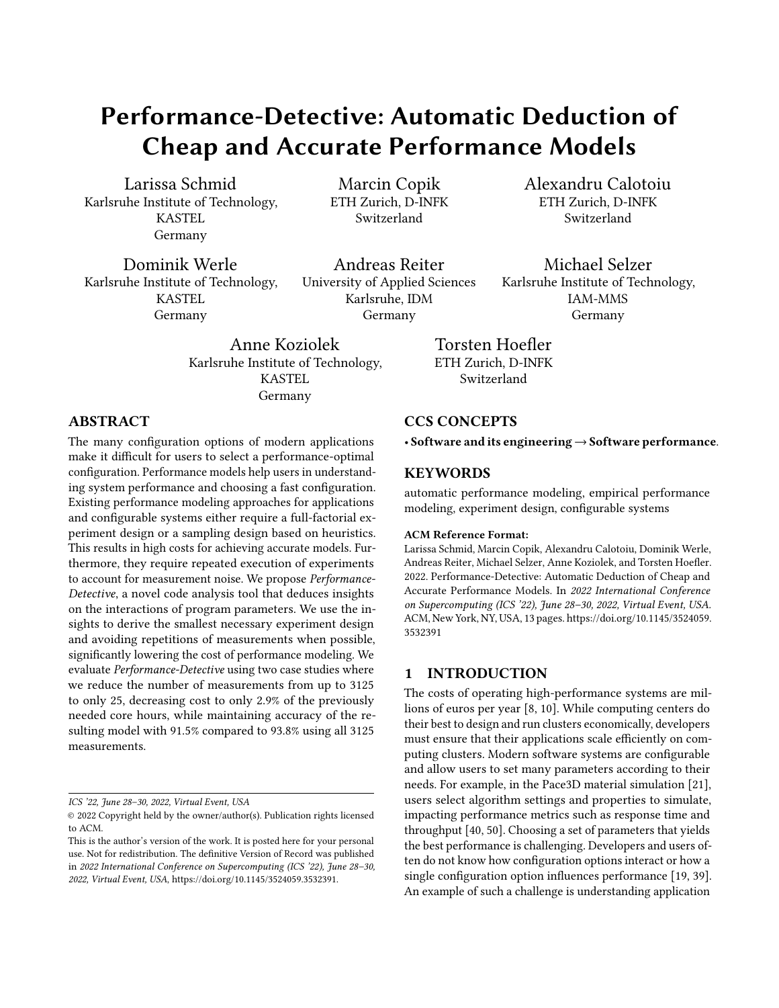# Performance-Detective: Automatic Deduction of Cheap and Accurate Performance Models

[Larissa Schmid](https://orcid.org/0000-0002-3600-6899) Karlsruhe Institute of Technology, KASTEL Germany

[Marcin Copik](https://orcid.org/0000-0002-7606-5519) ETH Zurich, D-INFK Switzerland

[Dominik Werle](https://orcid.org/0000-0002-2430-2578) Karlsruhe Institute of Technology, KASTEL Germany

Andreas Reiter University of Applied Sciences Karlsruhe, IDM Germany

[Alexandru Calotoiu](https://orcid.org/0000-0001-9095-9108) ETH Zurich, D-INFK Switzerland

[Michael Selzer](https://orcid.org/0000-0002-9756-646X) Karlsruhe Institute of Technology, IAM-MMS Germany

[Anne Koziolek](https://orcid.org/0000-0002-1593-3394) Karlsruhe Institute of Technology, KASTEL Germany

Torsten Hoefler ETH Zurich, D-INFK Switzerland

# ABSTRACT

The many configuration options of modern applications make it difficult for users to select a performance-optimal configuration. Performance models help users in understanding system performance and choosing a fast configuration. Existing performance modeling approaches for applications and configurable systems either require a full-factorial experiment design or a sampling design based on heuristics. This results in high costs for achieving accurate models. Furthermore, they require repeated execution of experiments to account for measurement noise. We propose Performance-Detective, a novel code analysis tool that deduces insights on the interactions of program parameters. We use the insights to derive the smallest necessary experiment design and avoiding repetitions of measurements when possible, significantly lowering the cost of performance modeling. We evaluate Performance-Detective using two case studies where we reduce the number of measurements from up to 3125 to only 25, decreasing cost to only 2.9% of the previously needed core hours, while maintaining accuracy of the resulting model with 91.5% compared to 93.8% using all 3125 measurements.

ICS '22, June 28–30, 2022, Virtual Event, USA

# CCS CONCEPTS

• Software and its engineering→Software performance.

#### KEYWORDS

automatic performance modeling, empirical performance modeling, experiment design, configurable systems

#### ACM Reference Format:

Larissa Schmid, Marcin Copik, Alexandru Calotoiu, Dominik Werle, Andreas Reiter, Michael Selzer, Anne Koziolek, and Torsten Hoefler. 2022. Performance-Detective: Automatic Deduction of Cheap and Accurate Performance Models. In 2022 International Conference on Supercomputing (ICS '22), June 28–30, 2022, Virtual Event, USA. ACM, New York, NY, USA, [13](#page-12-0) pages. [https://doi.org/10.1145/3524059.](https://doi.org/10.1145/3524059.3532391) [3532391](https://doi.org/10.1145/3524059.3532391)

## 1 INTRODUCTION

The costs of operating high-performance systems are millions of euros per year [\[8,](#page-11-0) [10\]](#page-11-1). While computing centers do their best to design and run clusters economically, developers must ensure that their applications scale efficiently on computing clusters. Modern software systems are configurable and allow users to set many parameters according to their needs. For example, in the Pace3D material simulation [\[21\]](#page-11-2), users select algorithm settings and properties to simulate, impacting performance metrics such as response time and throughput [\[40,](#page-12-1) [50\]](#page-12-2). Choosing a set of parameters that yields the best performance is challenging. Developers and users often do not know how configuration options interact or how a single configuration option influences performance [\[19,](#page-11-3) [39\]](#page-12-3). An example of such a challenge is understanding application

<sup>©</sup> 2022 Copyright held by the owner/author(s). Publication rights licensed to ACM.

This is the author's version of the work. It is posted here for your personal use. Not for redistribution. The definitive Version of Record was published in 2022 International Conference on Supercomputing (ICS '22), June 28–30, 2022, Virtual Event, USA, [https://doi.org/10.1145/3524059.3532391.](https://doi.org/10.1145/3524059.3532391)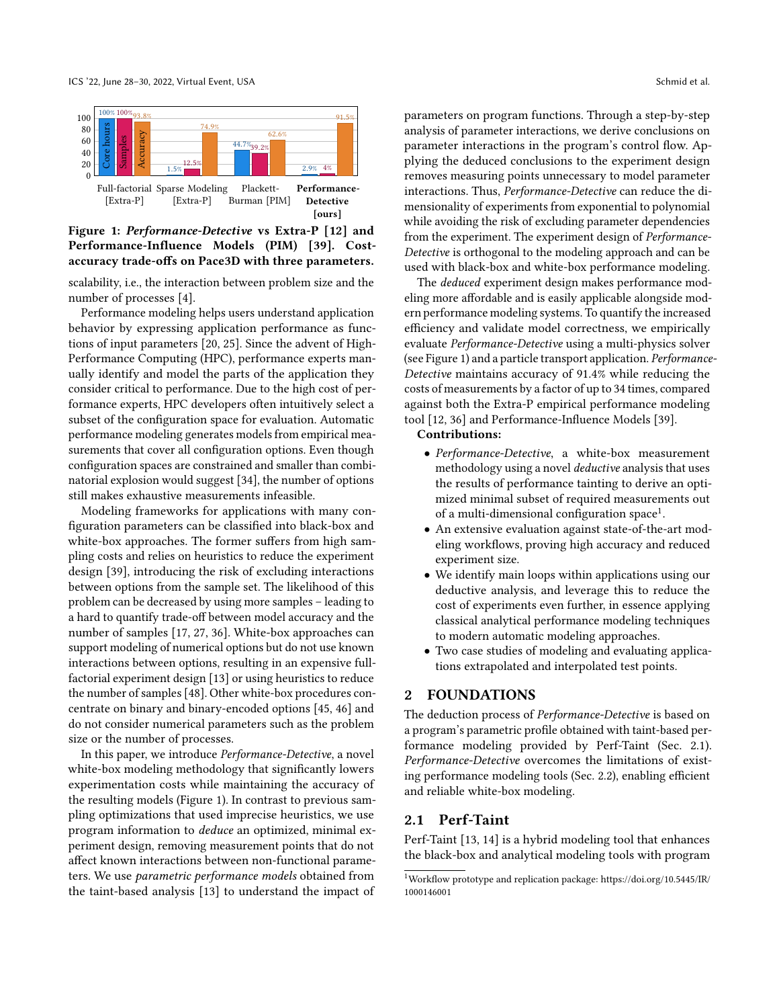<span id="page-1-0"></span>

Figure 1: Performance-Detective vs Extra-P [\[12\]](#page-11-4) and Performance-Influence Models (PIM) [\[39\]](#page-12-3). Costaccuracy trade-offs on Pace3D with three parameters.

scalability, i.e., the interaction between problem size and the number of processes [\[4\]](#page-11-5).

Performance modeling helps users understand application behavior by expressing application performance as functions of input parameters [\[20,](#page-11-6) [25\]](#page-11-7). Since the advent of High-Performance Computing (HPC), performance experts manually identify and model the parts of the application they consider critical to performance. Due to the high cost of performance experts, HPC developers often intuitively select a subset of the configuration space for evaluation. Automatic performance modeling generates models from empirical measurements that cover all configuration options. Even though configuration spaces are constrained and smaller than combinatorial explosion would suggest [\[34\]](#page-12-4), the number of options still makes exhaustive measurements infeasible.

Modeling frameworks for applications with many configuration parameters can be classified into black-box and white-box approaches. The former suffers from high sampling costs and relies on heuristics to reduce the experiment design [\[39\]](#page-12-3), introducing the risk of excluding interactions between options from the sample set. The likelihood of this problem can be decreased by using more samples – leading to a hard to quantify trade-off between model accuracy and the number of samples [\[17,](#page-11-8) [27,](#page-11-9) [36\]](#page-12-5). White-box approaches can support modeling of numerical options but do not use known interactions between options, resulting in an expensive fullfactorial experiment design [\[13\]](#page-11-10) or using heuristics to reduce the number of samples [\[48\]](#page-12-6). Other white-box procedures concentrate on binary and binary-encoded options [\[45,](#page-12-7) [46\]](#page-12-8) and do not consider numerical parameters such as the problem size or the number of processes.

In this paper, we introduce Performance-Detective, a novel white-box modeling methodology that significantly lowers experimentation costs while maintaining the accuracy of the resulting models [\(Figure 1\)](#page-1-0). In contrast to previous sampling optimizations that used imprecise heuristics, we use program information to deduce an optimized, minimal experiment design, removing measurement points that do not affect known interactions between non-functional parameters. We use parametric performance models obtained from the taint-based analysis [\[13\]](#page-11-10) to understand the impact of parameters on program functions. Through a step-by-step analysis of parameter interactions, we derive conclusions on parameter interactions in the program's control flow. Applying the deduced conclusions to the experiment design removes measuring points unnecessary to model parameter interactions. Thus, Performance-Detective can reduce the dimensionality of experiments from exponential to polynomial while avoiding the risk of excluding parameter dependencies from the experiment. The experiment design of Performance-Detective is orthogonal to the modeling approach and can be used with black-box and white-box performance modeling.

The deduced experiment design makes performance modeling more affordable and is easily applicable alongside modern performance modeling systems. To quantify the increased efficiency and validate model correctness, we empirically evaluate Performance-Detective using a multi-physics solver (see [Figure 1\)](#page-1-0) and a particle transport application. Performance-Detective maintains accuracy of 91.4% while reducing the costs of measurements by a factor of up to 34 times, compared against both the Extra-P empirical performance modeling tool [\[12,](#page-11-4) [36\]](#page-12-5) and Performance-Influence Models [\[39\]](#page-12-3).

#### Contributions:

- Performance-Detective, a white-box measurement methodology using a novel *deductive* analysis that uses the results of performance tainting to derive an optimized minimal subset of required measurements out of a multi-dimensional configuration space<sup>[1](#page-1-1)</sup>.
- An extensive evaluation against state-of-the-art modeling workflows, proving high accuracy and reduced experiment size.
- We identify main loops within applications using our deductive analysis, and leverage this to reduce the cost of experiments even further, in essence applying classical analytical performance modeling techniques to modern automatic modeling approaches.
- Two case studies of modeling and evaluating applications extrapolated and interpolated test points.

#### 2 FOUNDATIONS

The deduction process of Performance-Detective is based on a program's parametric profile obtained with taint-based performance modeling provided by Perf-Taint (Sec. [2.1\)](#page-1-2). Performance-Detective overcomes the limitations of existing performance modeling tools (Sec. [2.2\)](#page-2-0), enabling efficient and reliable white-box modeling.

#### <span id="page-1-2"></span>2.1 Perf-Taint

Perf-Taint [\[13,](#page-11-10) [14\]](#page-11-11) is a hybrid modeling tool that enhances the black-box and analytical modeling tools with program

<span id="page-1-1"></span> $^1\rm{Workflow}$  prototype and replication package: [https://doi.org/10.5445/IR/](https://doi.org/10.5445/IR/1000146001) [1000146001](https://doi.org/10.5445/IR/1000146001)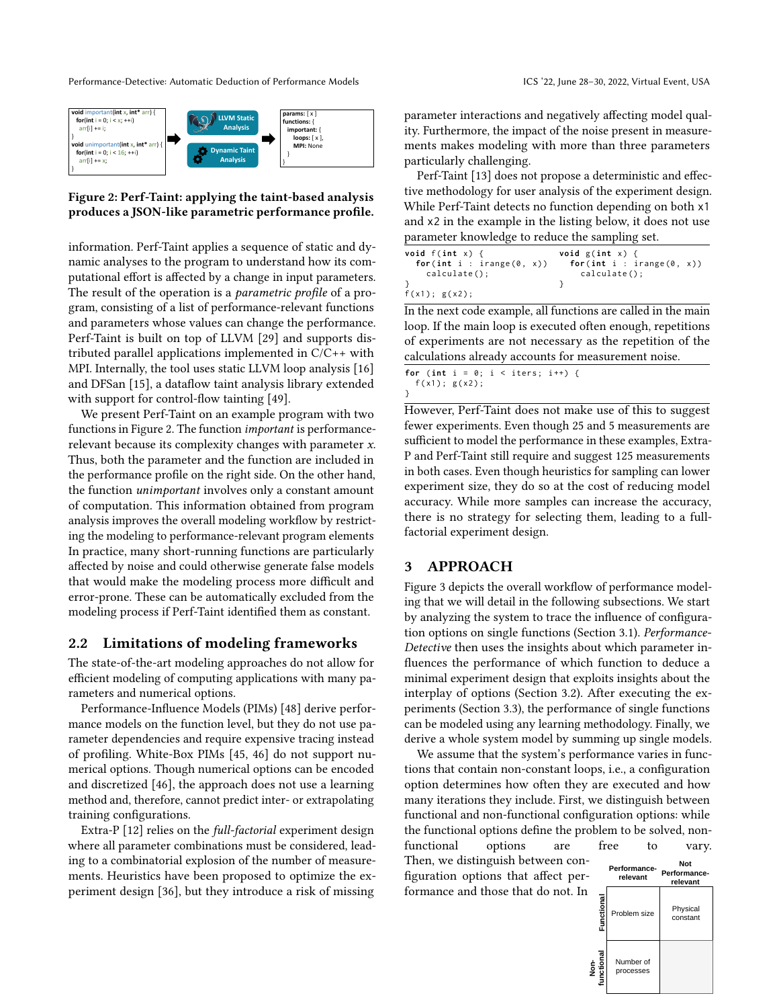<span id="page-2-1"></span>

#### Figure 2: Perf-Taint: applying the taint-based analysis produces a JSON-like parametric performance profile.

information. Perf-Taint applies a sequence of static and dynamic analyses to the program to understand how its computational effort is affected by a change in input parameters. The result of the operation is a *parametric profile* of a program, consisting of a list of performance-relevant functions and parameters whose values can change the performance. Perf-Taint is built on top of LLVM [\[29\]](#page-12-9) and supports distributed parallel applications implemented in C/C++ with MPI. Internally, the tool uses static LLVM loop analysis [\[16\]](#page-11-12) and DFSan [\[15\]](#page-11-13), a dataflow taint analysis library extended with support for control-flow tainting [\[49\]](#page-12-10).

We present Perf-Taint on an example program with two functions in [Figure 2.](#page-2-1) The function important is performancerelevant because its complexity changes with parameter x. Thus, both the parameter and the function are included in the performance profile on the right side. On the other hand, the function unimportant involves only a constant amount of computation. This information obtained from program analysis improves the overall modeling workflow by restricting the modeling to performance-relevant program elements In practice, many short-running functions are particularly affected by noise and could otherwise generate false models that would make the modeling process more difficult and error-prone. These can be automatically excluded from the modeling process if Perf-Taint identified them as constant.

#### <span id="page-2-0"></span>2.2 Limitations of modeling frameworks

The state-of-the-art modeling approaches do not allow for efficient modeling of computing applications with many parameters and numerical options.

Performance-Influence Models (PIMs) [\[48\]](#page-12-6) derive performance models on the function level, but they do not use parameter dependencies and require expensive tracing instead of profiling. White-Box PIMs [\[45,](#page-12-7) [46\]](#page-12-8) do not support numerical options. Though numerical options can be encoded and discretized [\[46\]](#page-12-8), the approach does not use a learning method and, therefore, cannot predict inter- or extrapolating training configurations.

Extra-P [\[12\]](#page-11-4) relies on the full-factorial experiment design where all parameter combinations must be considered, leading to a combinatorial explosion of the number of measurements. Heuristics have been proposed to optimize the experiment design [\[36\]](#page-12-5), but they introduce a risk of missing

parameter interactions and negatively affecting model quality. Furthermore, the impact of the noise present in measurements makes modeling with more than three parameters particularly challenging.

Perf-Taint [\[13\]](#page-11-10) does not propose a deterministic and effective methodology for user analysis of the experiment design. While Perf-Taint detects no function depending on both x1 and x2 in the example in the listing below, it does not use parameter knowledge to reduce the sampling set.

| void $f(int x)$ $\{$<br>for(int i : irange( $0, x$ )) | void $g(int x)$ {<br>for(int i : irange( $0, x$ )) |
|-------------------------------------------------------|----------------------------------------------------|
| $calcutate()$ ;                                       | $calcutate()$ ;                                    |
|                                                       |                                                    |
| f(x1); g(x2);                                         |                                                    |

In the next code example, all functions are called in the main loop. If the main loop is executed often enough, repetitions of experiments are not necessary as the repetition of the calculations already accounts for measurement noise.

| for (int i = 0; i < iters; i++) { |  |  |  |
|-----------------------------------|--|--|--|
| f(x1); g(x2);                     |  |  |  |
|                                   |  |  |  |

However, Perf-Taint does not make use of this to suggest fewer experiments. Even though 25 and 5 measurements are sufficient to model the performance in these examples, Extra-P and Perf-Taint still require and suggest 125 measurements in both cases. Even though heuristics for sampling can lower experiment size, they do so at the cost of reducing model accuracy. While more samples can increase the accuracy, there is no strategy for selecting them, leading to a fullfactorial experiment design.

## <span id="page-2-2"></span>3 APPROACH

[Figure 3](#page-3-0) depicts the overall workflow of performance modeling that we will detail in the following subsections. We start by analyzing the system to trace the influence of configuration options on single functions (Section [3.1\)](#page-3-1). Performance-Detective then uses the insights about which parameter influences the performance of which function to deduce a minimal experiment design that exploits insights about the interplay of options (Section [3.2\)](#page-3-2). After executing the experiments (Section [3.3\)](#page-4-0), the performance of single functions can be modeled using any learning methodology. Finally, we derive a whole system model by summing up single models.

We assume that the system's performance varies in functions that contain non-constant loops, i.e., a configuration option determines how often they are executed and how many iterations they include. First, we distinguish between functional and non-functional configuration options: while the functional options define the problem to be solved, non-

functional options are free to vary. Then, we distinguish between configuration options that affect performance and those that do not. In

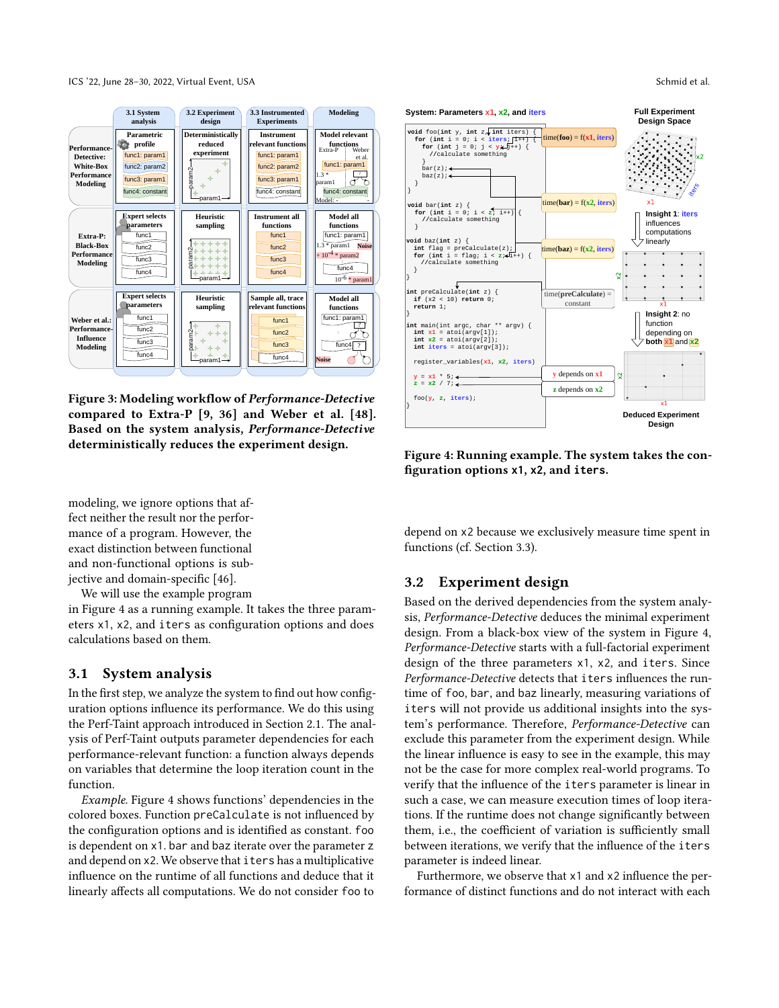ICS '22, June 28–30, 2022, Virtual Event, USA Schmid et al.

<span id="page-3-0"></span>

Figure 3: Modeling workflow of Performance-Detective compared to Extra-P [\[9,](#page-11-14) [36\]](#page-12-5) and Weber et al. [\[48\]](#page-12-6). Based on the system analysis, Performance-Detective deterministically reduces the experiment design.

modeling, we ignore options that affect neither the result nor the performance of a program. However, the exact distinction between functional and non-functional options is subjective and domain-specific [\[46\]](#page-12-8).

We will use the example program

in [Figure 4](#page-3-3) as a running example. It takes the three parameters x1, x2, and iters as configuration options and does calculations based on them.

#### <span id="page-3-1"></span>3.1 System analysis

In the first step, we analyze the system to find out how configuration options influence its performance. We do this using the Perf-Taint approach introduced in Section [2.1.](#page-1-2) The analysis of Perf-Taint outputs parameter dependencies for each performance-relevant function: a function always depends on variables that determine the loop iteration count in the function.

Example. [Figure 4](#page-3-3) shows functions' dependencies in the colored boxes. Function preCalculate is not influenced by the configuration options and is identified as constant. foo is dependent on x1. bar and baz iterate over the parameter z and depend on x2. We observe that iters has a multiplicative influence on the runtime of all functions and deduce that it linearly affects all computations. We do not consider foo to

<span id="page-3-3"></span>

Figure 4: Running example. The system takes the configuration options **x1**, **x2**, and **iters**.

depend on x2 because we exclusively measure time spent in functions (cf. Section [3.3\)](#page-4-0).

## <span id="page-3-2"></span>3.2 Experiment design

Based on the derived dependencies from the system analysis, Performance-Detective deduces the minimal experiment design. From a black-box view of the system in [Figure 4,](#page-3-3) Performance-Detective starts with a full-factorial experiment design of the three parameters x1, x2, and iters. Since Performance-Detective detects that iters influences the runtime of foo, bar, and baz linearly, measuring variations of iters will not provide us additional insights into the system's performance. Therefore, Performance-Detective can exclude this parameter from the experiment design. While the linear influence is easy to see in the example, this may not be the case for more complex real-world programs. To verify that the influence of the iters parameter is linear in such a case, we can measure execution times of loop iterations. If the runtime does not change significantly between them, i.e., the coefficient of variation is sufficiently small between iterations, we verify that the influence of the iters parameter is indeed linear.

Furthermore, we observe that x1 and x2 influence the performance of distinct functions and do not interact with each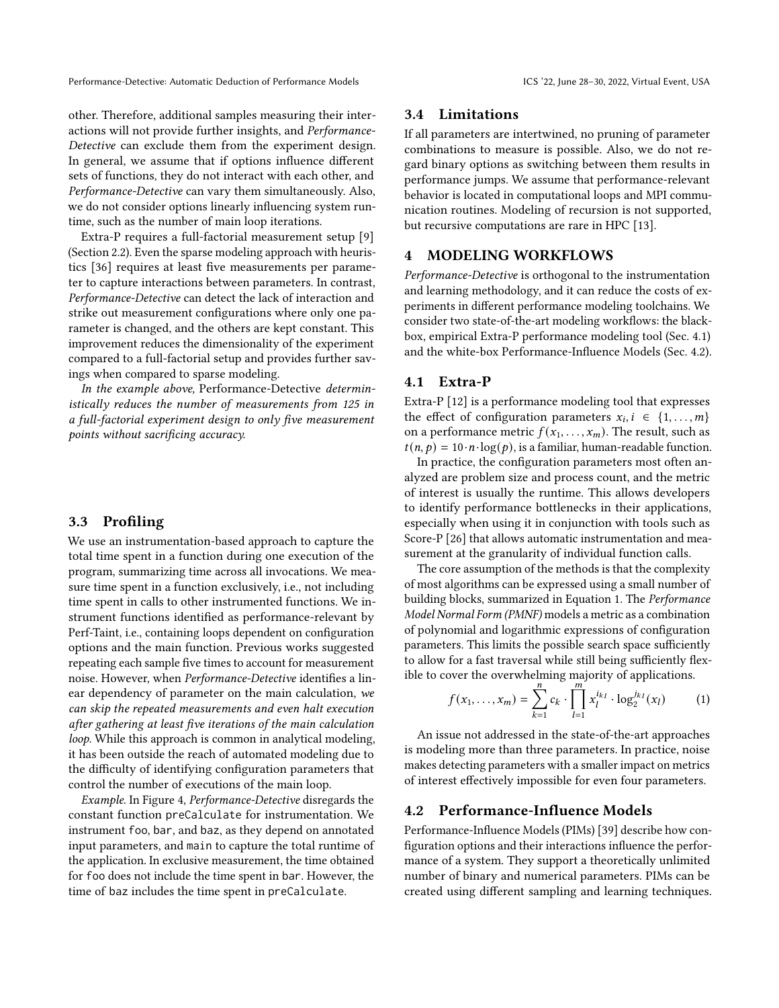other. Therefore, additional samples measuring their interactions will not provide further insights, and Performance-Detective can exclude them from the experiment design. In general, we assume that if options influence different sets of functions, they do not interact with each other, and Performance-Detective can vary them simultaneously. Also, we do not consider options linearly influencing system runtime, such as the number of main loop iterations.

Extra-P requires a full-factorial measurement setup [\[9\]](#page-11-14) (Section [2.2\)](#page-2-0). Even the sparse modeling approach with heuristics [\[36\]](#page-12-5) requires at least five measurements per parameter to capture interactions between parameters. In contrast, Performance-Detective can detect the lack of interaction and strike out measurement configurations where only one parameter is changed, and the others are kept constant. This improvement reduces the dimensionality of the experiment compared to a full-factorial setup and provides further savings when compared to sparse modeling.

In the example above, Performance-Detective deterministically reduces the number of measurements from 125 in a full-factorial experiment design to only five measurement points without sacrificing accuracy.

## <span id="page-4-0"></span>3.3 Profiling

We use an instrumentation-based approach to capture the total time spent in a function during one execution of the program, summarizing time across all invocations. We measure time spent in a function exclusively, i.e., not including time spent in calls to other instrumented functions. We instrument functions identified as performance-relevant by Perf-Taint, i.e., containing loops dependent on configuration options and the main function. Previous works suggested repeating each sample five times to account for measurement noise. However, when Performance-Detective identifies a linear dependency of parameter on the main calculation, we can skip the repeated measurements and even halt execution after gathering at least five iterations of the main calculation loop. While this approach is common in analytical modeling, it has been outside the reach of automated modeling due to the difficulty of identifying configuration parameters that control the number of executions of the main loop.

Example. In [Figure 4,](#page-3-3) Performance-Detective disregards the constant function preCalculate for instrumentation. We instrument foo, bar, and baz, as they depend on annotated input parameters, and main to capture the total runtime of the application. In exclusive measurement, the time obtained for foo does not include the time spent in bar. However, the time of baz includes the time spent in preCalculate.

#### 3.4 Limitations

If all parameters are intertwined, no pruning of parameter combinations to measure is possible. Also, we do not regard binary options as switching between them results in performance jumps. We assume that performance-relevant behavior is located in computational loops and MPI communication routines. Modeling of recursion is not supported, but recursive computations are rare in HPC [\[13\]](#page-11-10).

## 4 MODELING WORKFLOWS

Performance-Detective is orthogonal to the instrumentation and learning methodology, and it can reduce the costs of experiments in different performance modeling toolchains. We consider two state-of-the-art modeling workflows: the blackbox, empirical Extra-P performance modeling tool (Sec. [4.1\)](#page-4-1) and the white-box Performance-Influence Models (Sec. [4.2\)](#page-4-2).

#### <span id="page-4-1"></span>4.1 Extra-P

Extra-P [\[12\]](#page-11-4) is a performance modeling tool that expresses the effect of configuration parameters  $x_i, i \in \{1, ..., m\}$ on a performance metric  $f(x_1, \ldots, x_m)$ . The result, such as  $t(n, p) = 10 \cdot n \cdot \log(p)$ , is a familiar, human-readable function.

In practice, the configuration parameters most often analyzed are problem size and process count, and the metric of interest is usually the runtime. This allows developers to identify performance bottlenecks in their applications, especially when using it in conjunction with tools such as Score-P [\[26\]](#page-11-15) that allows automatic instrumentation and measurement at the granularity of individual function calls.

The core assumption of the methods is that the complexity of most algorithms can be expressed using a small number of building blocks, summarized in Equation [1.](#page-4-3) The Performance Model Normal Form (PMNF) models a metric as a combination of polynomial and logarithmic expressions of configuration parameters. This limits the possible search space sufficiently to allow for a fast traversal while still being sufficiently flex-

<span id="page-4-3"></span>ible to cover the overwhelming majority of applications.  
\n
$$
f(x_1,...,x_m) = \sum_{k=1}^{n} c_k \cdot \prod_{l=1}^{m} x_l^{i_{kl}} \cdot \log_2^{j_{kl}}(x_l)
$$
\n(1)

An issue not addressed in the state-of-the-art approaches is modeling more than three parameters. In practice, noise makes detecting parameters with a smaller impact on metrics of interest effectively impossible for even four parameters.

#### <span id="page-4-2"></span>4.2 Performance-Influence Models

Performance-Influence Models (PIMs) [\[39\]](#page-12-3) describe how configuration options and their interactions influence the performance of a system. They support a theoretically unlimited number of binary and numerical parameters. PIMs can be created using different sampling and learning techniques.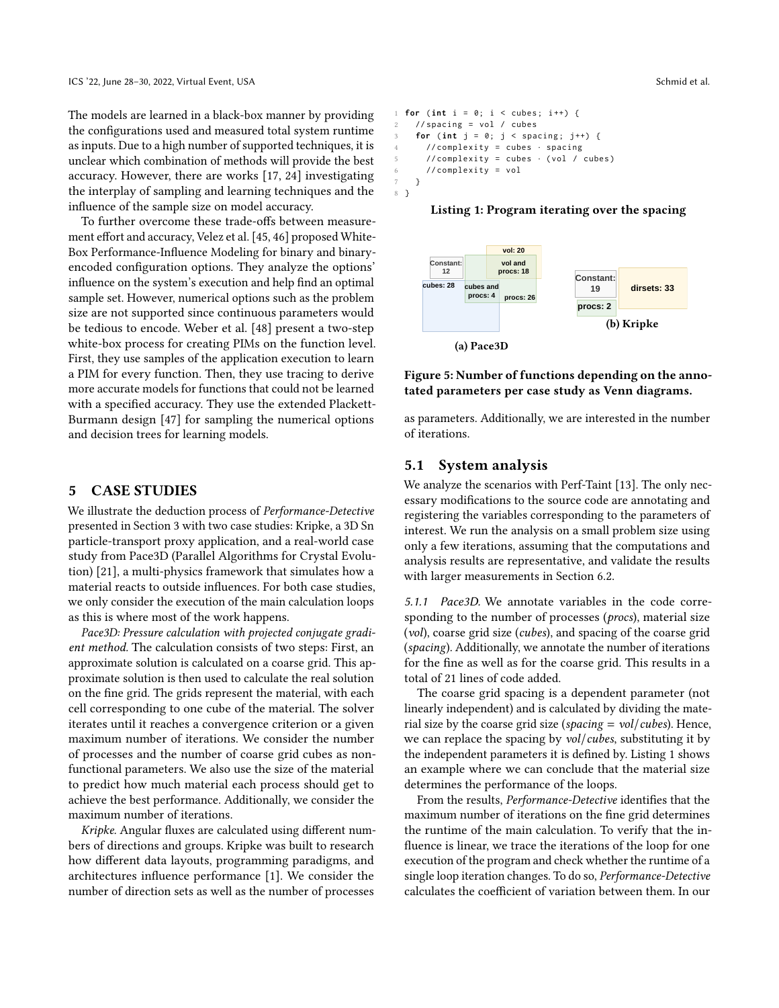The models are learned in a black-box manner by providing the configurations used and measured total system runtime as inputs. Due to a high number of supported techniques, it is unclear which combination of methods will provide the best accuracy. However, there are works [\[17,](#page-11-8) [24\]](#page-11-16) investigating the interplay of sampling and learning techniques and the influence of the sample size on model accuracy.

To further overcome these trade-offs between measurement effort and accuracy, Velez et al. [\[45,](#page-12-7) [46\]](#page-12-8) proposed White-Box Performance-Influence Modeling for binary and binaryencoded configuration options. They analyze the options' influence on the system's execution and help find an optimal sample set. However, numerical options such as the problem size are not supported since continuous parameters would be tedious to encode. Weber et al. [\[48\]](#page-12-6) present a two-step white-box process for creating PIMs on the function level. First, they use samples of the application execution to learn a PIM for every function. Then, they use tracing to derive more accurate models for functions that could not be learned with a specified accuracy. They use the extended Plackett-Burmann design [\[47\]](#page-12-11) for sampling the numerical options and decision trees for learning models.

#### <span id="page-5-2"></span>5 CASE STUDIES

We illustrate the deduction process of Performance-Detective presented in Section [3](#page-2-2) with two case studies: Kripke, a 3D Sn particle-transport proxy application, and a real-world case study from Pace3D (Parallel Algorithms for Crystal Evolution) [\[21\]](#page-11-2), a multi-physics framework that simulates how a material reacts to outside influences. For both case studies, we only consider the execution of the main calculation loops as this is where most of the work happens.

Pace3D: Pressure calculation with projected conjugate gradient method. The calculation consists of two steps: First, an approximate solution is calculated on a coarse grid. This approximate solution is then used to calculate the real solution on the fine grid. The grids represent the material, with each cell corresponding to one cube of the material. The solver iterates until it reaches a convergence criterion or a given maximum number of iterations. We consider the number of processes and the number of coarse grid cubes as nonfunctional parameters. We also use the size of the material to predict how much material each process should get to achieve the best performance. Additionally, we consider the maximum number of iterations.

Kripke. Angular fluxes are calculated using different numbers of directions and groups. Kripke was built to research how different data layouts, programming paradigms, and architectures influence performance [\[1\]](#page-10-0). We consider the number of direction sets as well as the number of processes

```
1 for ( int i = 0; i < cubes ; i ++) {
    2 // spacing = vol / cubes
    for (int j = 0; j < spacing; j++) {
      4 // complexity = cubes · spacing
      // complexity = cubes \cdot ( vol / cubes )
      6 // complexity = vol
7 }
8 }
```


<span id="page-5-1"></span>

Figure 5: Number of functions depending on the annotated parameters per case study as Venn diagrams.

as parameters. Additionally, we are interested in the number of iterations.

#### 5.1 System analysis

We analyze the scenarios with Perf-Taint [\[13\]](#page-11-10). The only necessary modifications to the source code are annotating and registering the variables corresponding to the parameters of interest. We run the analysis on a small problem size using only a few iterations, assuming that the computations and analysis results are representative, and validate the results with larger measurements in Section [6.2.](#page-7-0)

5.1.1 Pace3D. We annotate variables in the code corresponding to the number of processes (*procs*), material size (vol), coarse grid size (cubes), and spacing of the coarse grid (spacing). Additionally, we annotate the number of iterations for the fine as well as for the coarse grid. This results in a total of 21 lines of code added.

The coarse grid spacing is a dependent parameter (not linearly independent) and is calculated by dividing the material size by the coarse grid size (spacing =  $vol/cubes$ ). Hence, we can replace the spacing by vol/cubes, substituting it by the independent parameters it is defined by. Listing [1](#page-5-0) shows an example where we can conclude that the material size determines the performance of the loops.

From the results, Performance-Detective identifies that the maximum number of iterations on the fine grid determines the runtime of the main calculation. To verify that the influence is linear, we trace the iterations of the loop for one execution of the program and check whether the runtime of a single loop iteration changes. To do so, Performance-Detective calculates the coefficient of variation between them. In our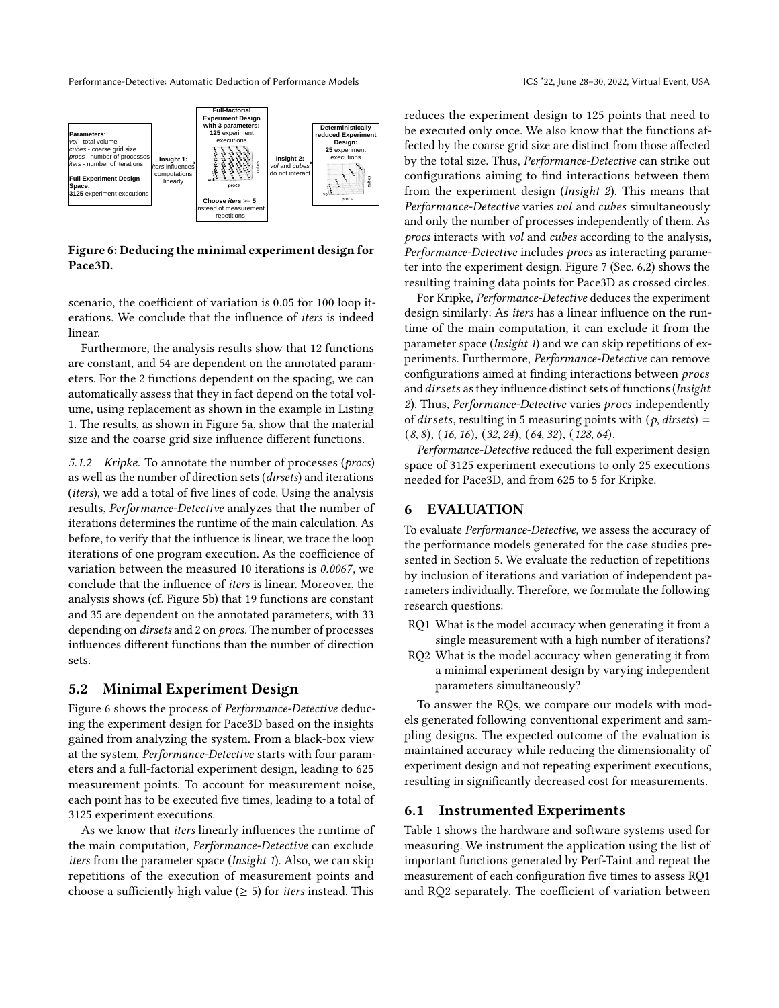<span id="page-6-0"></span>

Figure 6: Deducing the minimal experiment design for Pace3D.

scenario, the coefficient of variation is 0.05 for 100 loop iterations. We conclude that the influence of iters is indeed linear.

Furthermore, the analysis results show that 12 functions are constant, and 54 are dependent on the annotated parameters. For the 2 functions dependent on the spacing, we can automatically assess that they in fact depend on the total volume, using replacement as shown in the example in Listing [1.](#page-5-0) The results, as shown in [Figure 5a,](#page-5-1) show that the material size and the coarse grid size influence different functions.

5.1.2 Kripke. To annotate the number of processes (procs) as well as the number of direction sets (dirsets) and iterations (iters), we add a total of five lines of code. Using the analysis results, Performance-Detective analyzes that the number of iterations determines the runtime of the main calculation. As before, to verify that the influence is linear, we trace the loop iterations of one program execution. As the coefficience of variation between the measured 10 iterations is 0.0067, we conclude that the influence of iters is linear. Moreover, the analysis shows (cf. [Figure 5b\)](#page-5-1) that 19 functions are constant and 35 are dependent on the annotated parameters, with 33 depending on dirsets and 2 on procs. The number of processes influences different functions than the number of direction sets.

#### 5.2 Minimal Experiment Design

[Figure 6](#page-6-0) shows the process of Performance-Detective deducing the experiment design for Pace3D based on the insights gained from analyzing the system. From a black-box view at the system, Performance-Detective starts with four parameters and a full-factorial experiment design, leading to 625 measurement points. To account for measurement noise, each point has to be executed five times, leading to a total of 3125 experiment executions.

As we know that iters linearly influences the runtime of the main computation, Performance-Detective can exclude iters from the parameter space (Insight 1). Also, we can skip repetitions of the execution of measurement points and choose a sufficiently high value ( $\geq$  5) for *iters* instead. This

reduces the experiment design to 125 points that need to be executed only once. We also know that the functions affected by the coarse grid size are distinct from those affected by the total size. Thus, Performance-Detective can strike out configurations aiming to find interactions between them from the experiment design (Insight 2). This means that Performance-Detective varies vol and cubes simultaneously and only the number of processes independently of them. As procs interacts with vol and cubes according to the analysis, Performance-Detective includes procs as interacting parameter into the experiment design. [Figure 7](#page-7-1) (Sec. [6.2\)](#page-7-0) shows the resulting training data points for Pace3D as crossed circles.

For Kripke, Performance-Detective deduces the experiment design similarly: As iters has a linear influence on the runtime of the main computation, it can exclude it from the parameter space (Insight 1) and we can skip repetitions of experiments. Furthermore, Performance-Detective can remove configurations aimed at finding interactions between and *dirsets* as they influence distinct sets of functions (*Insight* 2). Thus, Performance-Detective varies procs independently of *dirsets*, resulting in 5 measuring points with  $(p, \text{dirsets}) =$  $(8, 8), (16, 16), (32, 24), (64, 32), (128, 64).$ 

Performance-Detective reduced the full experiment design space of 3125 experiment executions to only 25 executions needed for Pace3D, and from 625 to 5 for Kripke.

## 6 EVALUATION

To evaluate Performance-Detective, we assess the accuracy of the performance models generated for the case studies presented in Section [5.](#page-5-2) We evaluate the reduction of repetitions by inclusion of iterations and variation of independent parameters individually. Therefore, we formulate the following research questions:

- RQ1 What is the model accuracy when generating it from a single measurement with a high number of iterations?
- RQ2 What is the model accuracy when generating it from a minimal experiment design by varying independent parameters simultaneously?

To answer the RQs, we compare our models with models generated following conventional experiment and sampling designs. The expected outcome of the evaluation is maintained accuracy while reducing the dimensionality of experiment design and not repeating experiment executions, resulting in significantly decreased cost for measurements.

## 6.1 Instrumented Experiments

[Table 1](#page-7-2) shows the hardware and software systems used for measuring. We instrument the application using the list of important functions generated by Perf-Taint and repeat the measurement of each configuration five times to assess RQ1 and RQ2 separately. The coefficient of variation between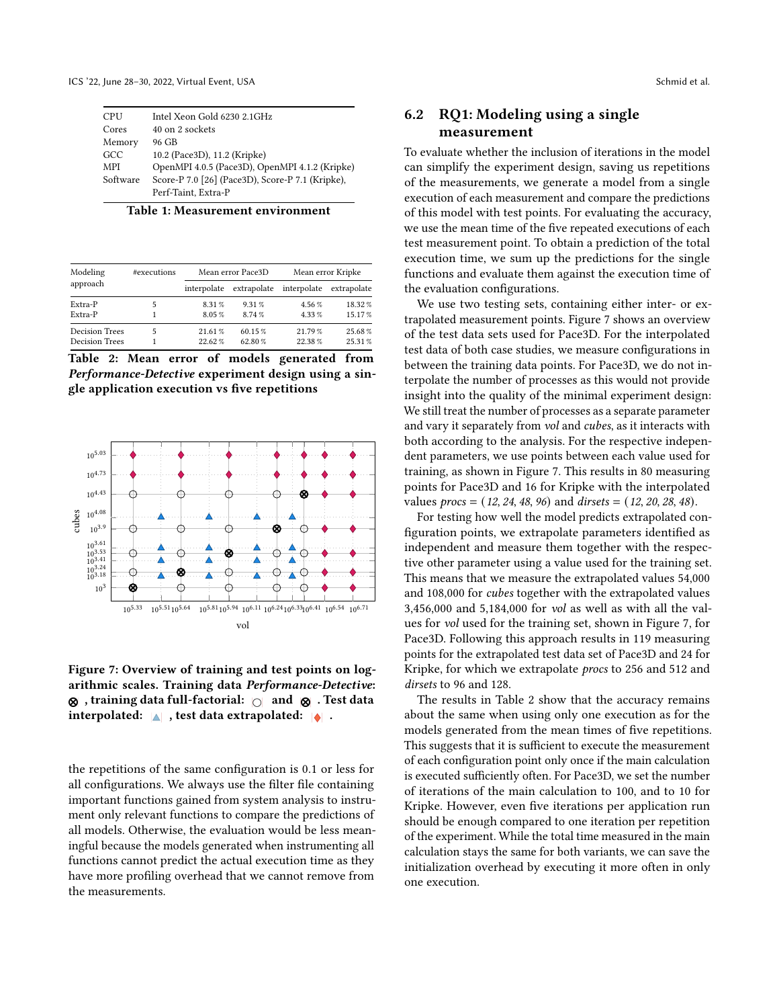<span id="page-7-2"></span>ICS '22, June 28–30, 2022, Virtual Event, USA Schmid et al.

| <b>CPU</b> | Intel Xeon Gold 6230 2.1GHz                      |
|------------|--------------------------------------------------|
| Cores      | 40 on 2 sockets                                  |
| Memory     | 96 GB                                            |
| GCC        | 10.2 (Pace3D), 11.2 (Kripke)                     |
| MPI        | OpenMPI 4.0.5 (Pace3D), OpenMPI 4.1.2 (Kripke)   |
| Software   | Score-P 7.0 [26] (Pace3D), Score-P 7.1 (Kripke), |
|            | Perf-Taint, Extra-P                              |

| Table 1: Measurement environment |  |
|----------------------------------|--|
|----------------------------------|--|

<span id="page-7-3"></span>

| Modeling              | #executions |             | Mean error Pace3D | Mean error Kripke |             |  |
|-----------------------|-------------|-------------|-------------------|-------------------|-------------|--|
| approach              |             | interpolate | extrapolate       | interpolate       | extrapolate |  |
| Extra-P               |             | 8.31 %      | 9.31%             | 4.56%             | 18.32%      |  |
| Extra-P               |             | 8.05%       | 8.74%             | 4.33%             | 15.17%      |  |
| <b>Decision Trees</b> |             | 21.61%      | 60.15%            | 21.79%            | 25.68%      |  |
| <b>Decision Trees</b> |             | 22.62%      | 62.80%            | 22.38%            | 25.31%      |  |

Table 2: Mean error of models generated from Performance-Detective experiment design using a single application execution vs five repetitions

<span id="page-7-1"></span>

Figure 7: Overview of training and test points on logarithmic scales. Training data Performance-Detective:  $\otimes$ , training data full-factorial:  $\circ$  and  $\otimes$ . Test data interpolated:  $\triangle$ , test data extrapolated:  $\triangle$ .

the repetitions of the same configuration is 0.1 or less for all configurations. We always use the filter file containing important functions gained from system analysis to instrument only relevant functions to compare the predictions of all models. Otherwise, the evaluation would be less meaningful because the models generated when instrumenting all functions cannot predict the actual execution time as they have more profiling overhead that we cannot remove from the measurements.

# <span id="page-7-0"></span>6.2 RQ1: Modeling using a single measurement

To evaluate whether the inclusion of iterations in the model can simplify the experiment design, saving us repetitions of the measurements, we generate a model from a single execution of each measurement and compare the predictions of this model with test points. For evaluating the accuracy, we use the mean time of the five repeated executions of each test measurement point. To obtain a prediction of the total execution time, we sum up the predictions for the single functions and evaluate them against the execution time of the evaluation configurations.

We use two testing sets, containing either inter- or extrapolated measurement points. [Figure 7](#page-7-1) shows an overview of the test data sets used for Pace3D. For the interpolated test data of both case studies, we measure configurations in between the training data points. For Pace3D, we do not interpolate the number of processes as this would not provide insight into the quality of the minimal experiment design: We still treat the number of processes as a separate parameter and vary it separately from vol and cubes, as it interacts with both according to the analysis. For the respective independent parameters, we use points between each value used for training, as shown in [Figure 7.](#page-7-1) This results in 80 measuring points for Pace3D and 16 for Kripke with the interpolated values  $\text{procs} = (12, 24, 48, 96)$  and  $\text{dirsets} = (12, 20, 28, 48)$ .

For testing how well the model predicts extrapolated configuration points, we extrapolate parameters identified as independent and measure them together with the respective other parameter using a value used for the training set. This means that we measure the extrapolated values 54,000 and 108,000 for cubes together with the extrapolated values 3,456,000 and 5,184,000 for vol as well as with all the values for vol used for the training set, shown in [Figure 7,](#page-7-1) for Pace3D. Following this approach results in 119 measuring points for the extrapolated test data set of Pace3D and 24 for Kripke, for which we extrapolate procs to 256 and 512 and dirsets to 96 and 128.

The results in [Table 2](#page-7-3) show that the accuracy remains about the same when using only one execution as for the models generated from the mean times of five repetitions. This suggests that it is sufficient to execute the measurement of each configuration point only once if the main calculation is executed sufficiently often. For Pace3D, we set the number of iterations of the main calculation to 100, and to 10 for Kripke. However, even five iterations per application run should be enough compared to one iteration per repetition of the experiment. While the total time measured in the main calculation stays the same for both variants, we can save the initialization overhead by executing it more often in only one execution.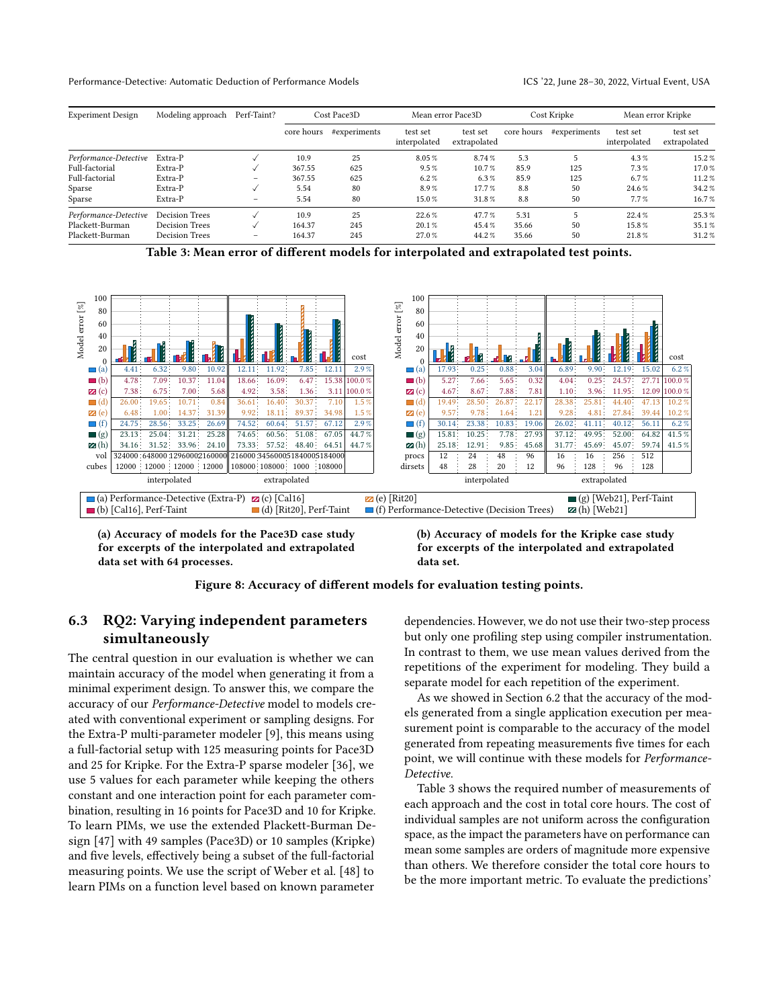<span id="page-8-0"></span>

| <b>Experiment Design</b> | Modeling approach     | Perf-Taint? | Cost Pace3D |              | Mean error Pace3D        |                          | Cost Kripke |              | Mean error Kripke        |                          |
|--------------------------|-----------------------|-------------|-------------|--------------|--------------------------|--------------------------|-------------|--------------|--------------------------|--------------------------|
|                          |                       |             | core hours  | #experiments | test set<br>interpolated | test set<br>extrapolated | core hours  | #experiments | test set<br>interpolated | test set<br>extrapolated |
| Performance-Detective    | Extra-P               |             | 10.9        | 25           | 8.05%                    | 8.74%                    | 5.3         |              | 4.3%                     | 15.2%                    |
| Full-factorial           | Extra-P               |             | 367.55      | 625          | $9.5\%$                  | 10.7%                    | 85.9        | 125          | 7.3%                     | 17.0%                    |
| Full-factorial           | Extra-P               |             | 367.55      | 625          | $6.2\%$                  | $6.3\%$                  | 85.9        | 125          | 6.7%                     | 11.2%                    |
| Sparse                   | Extra-P               |             | 5.54        | 80           | 8.9%                     | 17.7%                    | 8.8         | 50           | 24.6 %                   | 34.2%                    |
| Sparse                   | Extra-P               | -           | 5.54        | 80           | 15.0%                    | 31.8%                    | 8.8         | 50           | 7.7%                     | 16.7%                    |
| Performance-Detective    | <b>Decision Trees</b> |             | 10.9        | 25           | 22.6%                    | 47.7%                    | 5.31        |              | 22.4%                    | 25.3%                    |
| Plackett-Burman          | Decision Trees        |             | 164.37      | 245          | 20.1%                    | 45.4%                    | 35.66       | 50           | 15.8%                    | 35.1%                    |
| Plackett-Burman          | <b>Decision Trees</b> | $\sim$      | 164.37      | 245          | 27.0%                    | 44.2%                    | 35.66       | 50           | 21.8%                    | 31.2%                    |

Table 3: Mean error of different models for interpolated and extrapolated test points.

<span id="page-8-1"></span>

(a) Accuracy of models for the Pace3D case study for excerpts of the interpolated and extrapolated data set with 64 processes.

(b) Accuracy of models for the Kripke case study for excerpts of the interpolated and extrapolated data set.



## 6.3 RQ2: Varying independent parameters simultaneously

The central question in our evaluation is whether we can maintain accuracy of the model when generating it from a minimal experiment design. To answer this, we compare the accuracy of our Performance-Detective model to models created with conventional experiment or sampling designs. For the Extra-P multi-parameter modeler [\[9\]](#page-11-14), this means using a full-factorial setup with 125 measuring points for Pace3D and 25 for Kripke. For the Extra-P sparse modeler [\[36\]](#page-12-5), we use 5 values for each parameter while keeping the others constant and one interaction point for each parameter combination, resulting in 16 points for Pace3D and 10 for Kripke. To learn PIMs, we use the extended Plackett-Burman Design [\[47\]](#page-12-11) with 49 samples (Pace3D) or 10 samples (Kripke) and five levels, effectively being a subset of the full-factorial measuring points. We use the script of Weber et al. [\[48\]](#page-12-6) to learn PIMs on a function level based on known parameter

dependencies. However, we do not use their two-step process but only one profiling step using compiler instrumentation. In contrast to them, we use mean values derived from the repetitions of the experiment for modeling. They build a separate model for each repetition of the experiment.

As we showed in Section [6.2](#page-7-0) that the accuracy of the models generated from a single application execution per measurement point is comparable to the accuracy of the model generated from repeating measurements five times for each point, we will continue with these models for Performance-Detective.

[Table 3](#page-8-0) shows the required number of measurements of each approach and the cost in total core hours. The cost of individual samples are not uniform across the configuration space, as the impact the parameters have on performance can mean some samples are orders of magnitude more expensive than others. We therefore consider the total core hours to be the more important metric. To evaluate the predictions'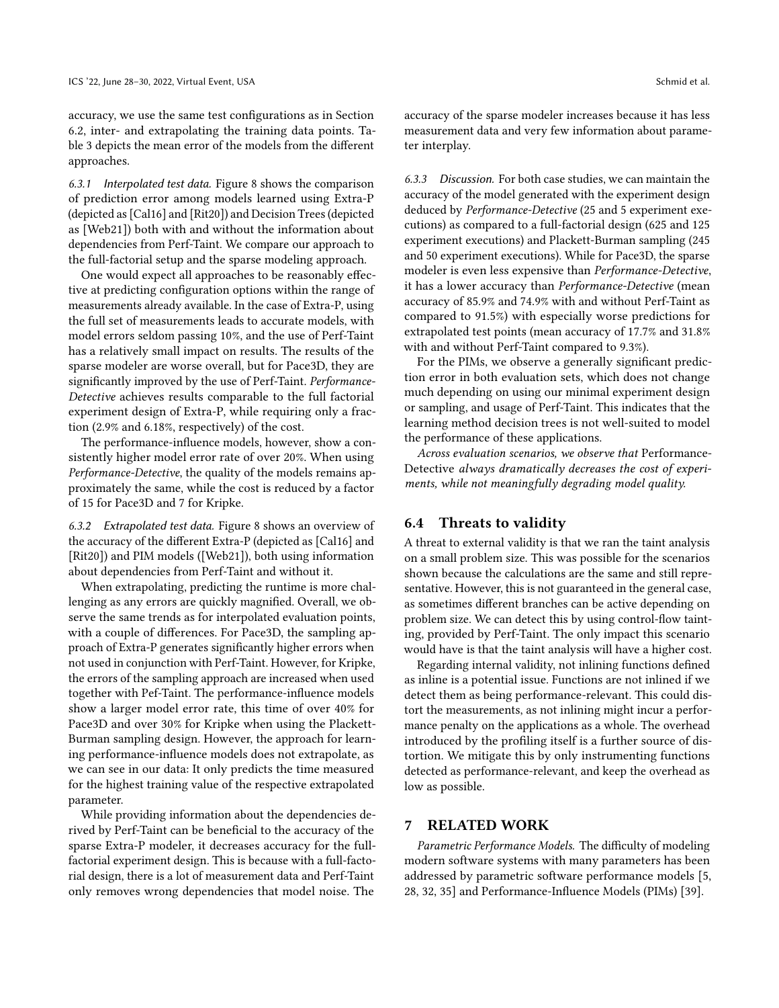accuracy, we use the same test configurations as in Section [6.2,](#page-7-0) inter- and extrapolating the training data points. [Ta](#page-8-0)[ble 3](#page-8-0) depicts the mean error of the models from the different approaches.

6.3.1 Interpolated test data. [Figure 8](#page-8-1) shows the comparison of prediction error among models learned using Extra-P (depicted as [Cal16] and [Rit20]) and Decision Trees (depicted as [Web21]) both with and without the information about dependencies from Perf-Taint. We compare our approach to the full-factorial setup and the sparse modeling approach.

One would expect all approaches to be reasonably effective at predicting configuration options within the range of measurements already available. In the case of Extra-P, using the full set of measurements leads to accurate models, with model errors seldom passing 10%, and the use of Perf-Taint has a relatively small impact on results. The results of the sparse modeler are worse overall, but for Pace3D, they are significantly improved by the use of Perf-Taint. Performance-Detective achieves results comparable to the full factorial experiment design of Extra-P, while requiring only a fraction (2.9% and 6.18%, respectively) of the cost.

The performance-influence models, however, show a consistently higher model error rate of over 20%. When using Performance-Detective, the quality of the models remains approximately the same, while the cost is reduced by a factor of 15 for Pace3D and 7 for Kripke.

6.3.2 Extrapolated test data. [Figure 8](#page-8-1) shows an overview of the accuracy of the different Extra-P (depicted as [Cal16] and [Rit20]) and PIM models ([Web21]), both using information about dependencies from Perf-Taint and without it.

When extrapolating, predicting the runtime is more challenging as any errors are quickly magnified. Overall, we observe the same trends as for interpolated evaluation points, with a couple of differences. For Pace3D, the sampling approach of Extra-P generates significantly higher errors when not used in conjunction with Perf-Taint. However, for Kripke, the errors of the sampling approach are increased when used together with Pef-Taint. The performance-influence models show a larger model error rate, this time of over 40% for Pace3D and over 30% for Kripke when using the Plackett-Burman sampling design. However, the approach for learning performance-influence models does not extrapolate, as we can see in our data: It only predicts the time measured for the highest training value of the respective extrapolated parameter.

While providing information about the dependencies derived by Perf-Taint can be beneficial to the accuracy of the sparse Extra-P modeler, it decreases accuracy for the fullfactorial experiment design. This is because with a full-factorial design, there is a lot of measurement data and Perf-Taint only removes wrong dependencies that model noise. The

accuracy of the sparse modeler increases because it has less measurement data and very few information about parameter interplay.

6.3.3 Discussion. For both case studies, we can maintain the accuracy of the model generated with the experiment design deduced by Performance-Detective (25 and 5 experiment executions) as compared to a full-factorial design (625 and 125 experiment executions) and Plackett-Burman sampling (245 and 50 experiment executions). While for Pace3D, the sparse modeler is even less expensive than Performance-Detective, it has a lower accuracy than Performance-Detective (mean accuracy of 85.9% and 74.9% with and without Perf-Taint as compared to 91.5%) with especially worse predictions for extrapolated test points (mean accuracy of 17.7% and 31.8% with and without Perf-Taint compared to 9.3%).

For the PIMs, we observe a generally significant prediction error in both evaluation sets, which does not change much depending on using our minimal experiment design or sampling, and usage of Perf-Taint. This indicates that the learning method decision trees is not well-suited to model the performance of these applications.

Across evaluation scenarios, we observe that Performance-Detective always dramatically decreases the cost of experiments, while not meaningfully degrading model quality.

#### 6.4 Threats to validity

A threat to external validity is that we ran the taint analysis on a small problem size. This was possible for the scenarios shown because the calculations are the same and still representative. However, this is not guaranteed in the general case, as sometimes different branches can be active depending on problem size. We can detect this by using control-flow tainting, provided by Perf-Taint. The only impact this scenario would have is that the taint analysis will have a higher cost.

Regarding internal validity, not inlining functions defined as inline is a potential issue. Functions are not inlined if we detect them as being performance-relevant. This could distort the measurements, as not inlining might incur a performance penalty on the applications as a whole. The overhead introduced by the profiling itself is a further source of distortion. We mitigate this by only instrumenting functions detected as performance-relevant, and keep the overhead as low as possible.

## 7 RELATED WORK

Parametric Performance Models. The difficulty of modeling modern software systems with many parameters has been addressed by parametric software performance models [\[5,](#page-11-17) [28,](#page-11-18) [32,](#page-12-12) [35\]](#page-12-13) and Performance-Influence Models (PIMs) [\[39\]](#page-12-3).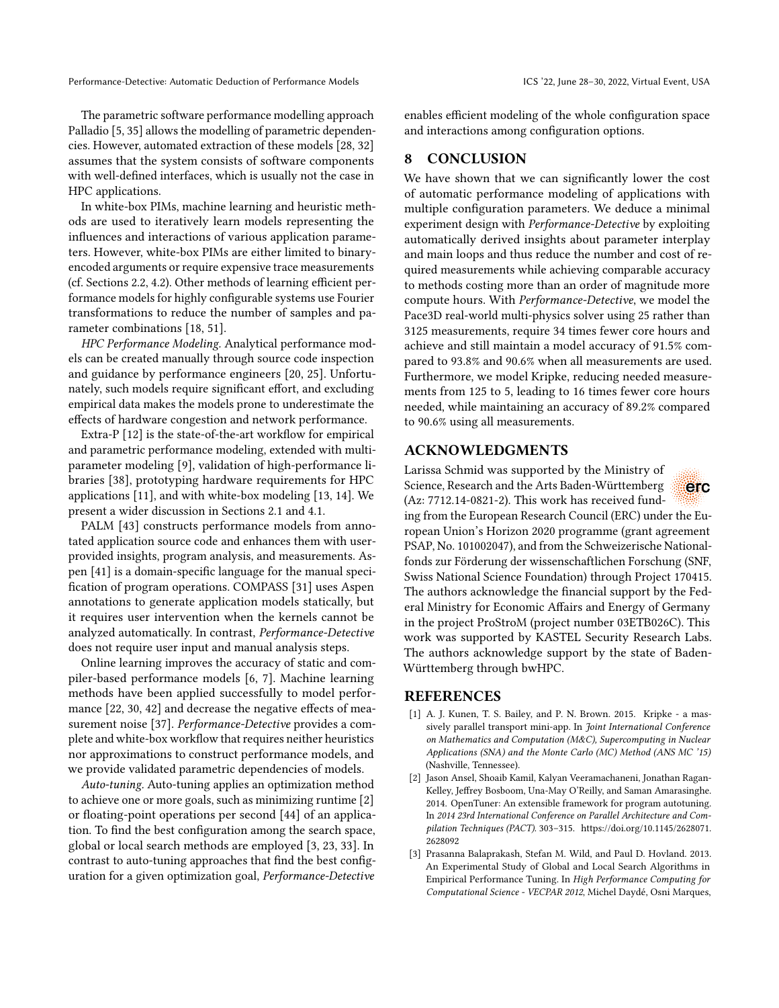The parametric software performance modelling approach Palladio [\[5,](#page-11-17) [35\]](#page-12-13) allows the modelling of parametric dependencies. However, automated extraction of these models [\[28,](#page-11-18) [32\]](#page-12-12) assumes that the system consists of software components with well-defined interfaces, which is usually not the case in HPC applications.

In white-box PIMs, machine learning and heuristic methods are used to iteratively learn models representing the influences and interactions of various application parameters. However, white-box PIMs are either limited to binaryencoded arguments or require expensive trace measurements (cf. Sections [2.2,](#page-2-0) [4.2\)](#page-4-2). Other methods of learning efficient performance models for highly configurable systems use Fourier transformations to reduce the number of samples and parameter combinations [\[18,](#page-11-19) [51\]](#page-12-14).

HPC Performance Modeling. Analytical performance models can be created manually through source code inspection and guidance by performance engineers [\[20,](#page-11-6) [25\]](#page-11-7). Unfortunately, such models require significant effort, and excluding empirical data makes the models prone to underestimate the effects of hardware congestion and network performance.

Extra-P [\[12\]](#page-11-4) is the state-of-the-art workflow for empirical and parametric performance modeling, extended with multiparameter modeling [\[9\]](#page-11-14), validation of high-performance libraries [\[38\]](#page-12-15), prototyping hardware requirements for HPC applications [\[11\]](#page-11-20), and with white-box modeling [\[13,](#page-11-10) [14\]](#page-11-11). We present a wider discussion in Sections [2.1](#page-1-2) and [4.1.](#page-4-1)

PALM [\[43\]](#page-12-16) constructs performance models from annotated application source code and enhances them with userprovided insights, program analysis, and measurements. Aspen [\[41\]](#page-12-17) is a domain-specific language for the manual specification of program operations. COMPASS [\[31\]](#page-12-18) uses Aspen annotations to generate application models statically, but it requires user intervention when the kernels cannot be analyzed automatically. In contrast, Performance-Detective does not require user input and manual analysis steps.

Online learning improves the accuracy of static and compiler-based performance models [\[6,](#page-11-21) [7\]](#page-11-22). Machine learning methods have been applied successfully to model performance [\[22,](#page-11-23) [30,](#page-12-19) [42\]](#page-12-20) and decrease the negative effects of measurement noise [\[37\]](#page-12-21). Performance-Detective provides a complete and white-box workflow that requires neither heuristics nor approximations to construct performance models, and we provide validated parametric dependencies of models.

Auto-tuning. Auto-tuning applies an optimization method to achieve one or more goals, such as minimizing runtime [\[2\]](#page-10-1) or floating-point operations per second [\[44\]](#page-12-22) of an application. To find the best configuration among the search space, global or local search methods are employed [\[3,](#page-10-2) [23,](#page-11-24) [33\]](#page-12-23). In contrast to auto-tuning approaches that find the best configuration for a given optimization goal, Performance-Detective

enables efficient modeling of the whole configuration space and interactions among configuration options.

#### 8 CONCLUSION

We have shown that we can significantly lower the cost of automatic performance modeling of applications with multiple configuration parameters. We deduce a minimal experiment design with Performance-Detective by exploiting automatically derived insights about parameter interplay and main loops and thus reduce the number and cost of required measurements while achieving comparable accuracy to methods costing more than an order of magnitude more compute hours. With Performance-Detective, we model the Pace3D real-world multi-physics solver using 25 rather than 3125 measurements, require 34 times fewer core hours and achieve and still maintain a model accuracy of 91.5% compared to 93.8% and 90.6% when all measurements are used. Furthermore, we model Kripke, reducing needed measurements from 125 to 5, leading to 16 times fewer core hours needed, while maintaining an accuracy of 89.2% compared to 90.6% using all measurements.

## ACKNOWLEDGMENTS

Larissa Schmid was supported by the Ministry of Science, Research and the Arts Baden-Württemberg (Az: 7712.14-0821-2). This work has received fund-

erc

ing from the European Research Council (ERC) under the European Union's Horizon 2020 programme (grant agreement PSAP, No. 101002047), and from the Schweizerische Nationalfonds zur Förderung der wissenschaftlichen Forschung (SNF, Swiss National Science Foundation) through Project 170415. The authors acknowledge the financial support by the Federal Ministry for Economic Affairs and Energy of Germany in the project ProStroM (project number 03ETB026C). This work was supported by KASTEL Security Research Labs. The authors acknowledge support by the state of Baden-Württemberg through bwHPC.

## REFERENCES

- <span id="page-10-0"></span>[1] A. J. Kunen, T. S. Bailey, and P. N. Brown. 2015. Kripke - a massively parallel transport mini-app. In Joint International Conference on Mathematics and Computation (M&C), Supercomputing in Nuclear Applications (SNA) and the Monte Carlo (MC) Method (ANS MC '15) (Nashville, Tennessee).
- <span id="page-10-1"></span>[2] Jason Ansel, Shoaib Kamil, Kalyan Veeramachaneni, Jonathan Ragan-Kelley, Jeffrey Bosboom, Una-May O'Reilly, and Saman Amarasinghe. 2014. OpenTuner: An extensible framework for program autotuning. In 2014 23rd International Conference on Parallel Architecture and Compilation Techniques (PACT). 303–315. [https://doi.org/10.1145/2628071.](https://doi.org/10.1145/2628071.2628092) [2628092](https://doi.org/10.1145/2628071.2628092)
- <span id="page-10-2"></span>[3] Prasanna Balaprakash, Stefan M. Wild, and Paul D. Hovland. 2013. An Experimental Study of Global and Local Search Algorithms in Empirical Performance Tuning. In High Performance Computing for Computational Science - VECPAR 2012, Michel Daydé, Osni Marques,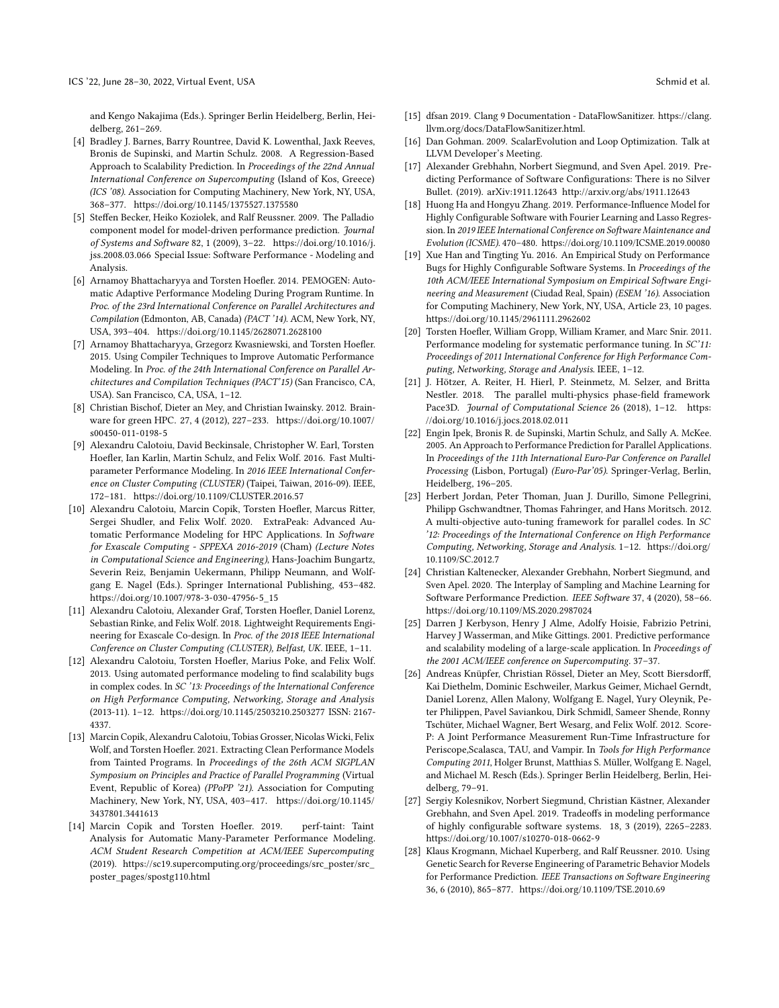and Kengo Nakajima (Eds.). Springer Berlin Heidelberg, Berlin, Heidelberg, 261–269.

- <span id="page-11-5"></span>[4] Bradley J. Barnes, Barry Rountree, David K. Lowenthal, Jaxk Reeves, Bronis de Supinski, and Martin Schulz. 2008. A Regression-Based Approach to Scalability Prediction. In Proceedings of the 22nd Annual International Conference on Supercomputing (Island of Kos, Greece) (ICS '08). Association for Computing Machinery, New York, NY, USA, 368–377.<https://doi.org/10.1145/1375527.1375580>
- <span id="page-11-17"></span>[5] Steffen Becker, Heiko Koziolek, and Ralf Reussner. 2009. The Palladio component model for model-driven performance prediction. Journal of Systems and Software 82, 1 (2009), 3–22. [https://doi.org/10.1016/j.](https://doi.org/10.1016/j.jss.2008.03.066) [jss.2008.03.066](https://doi.org/10.1016/j.jss.2008.03.066) Special Issue: Software Performance - Modeling and Analysis.
- <span id="page-11-21"></span>[6] Arnamoy Bhattacharyya and Torsten Hoefler. 2014. PEMOGEN: Automatic Adaptive Performance Modeling During Program Runtime. In Proc. of the 23rd International Conference on Parallel Architectures and Compilation (Edmonton, AB, Canada) (PACT '14). ACM, New York, NY, USA, 393–404.<https://doi.org/10.1145/2628071.2628100>
- <span id="page-11-22"></span>[7] Arnamoy Bhattacharyya, Grzegorz Kwasniewski, and Torsten Hoefler. 2015. Using Compiler Techniques to Improve Automatic Performance Modeling. In Proc. of the 24th International Conference on Parallel Architectures and Compilation Techniques (PACT'15) (San Francisco, CA, USA). San Francisco, CA, USA, 1–12.
- <span id="page-11-0"></span>[8] Christian Bischof, Dieter an Mey, and Christian Iwainsky. 2012. Brainware for green HPC. 27, 4 (2012), 227–233. [https://doi.org/10.1007/](https://doi.org/10.1007/s00450-011-0198-5) [s00450-011-0198-5](https://doi.org/10.1007/s00450-011-0198-5)
- <span id="page-11-14"></span>[9] Alexandru Calotoiu, David Beckinsale, Christopher W. Earl, Torsten Hoefler, Ian Karlin, Martin Schulz, and Felix Wolf. 2016. Fast Multiparameter Performance Modeling. In 2016 IEEE International Conference on Cluster Computing (CLUSTER) (Taipei, Taiwan, 2016-09). IEEE, 172–181.<https://doi.org/10.1109/CLUSTER.2016.57>
- <span id="page-11-1"></span>[10] Alexandru Calotoiu, Marcin Copik, Torsten Hoefler, Marcus Ritter, Sergei Shudler, and Felix Wolf. 2020. ExtraPeak: Advanced Automatic Performance Modeling for HPC Applications. In Software for Exascale Computing - SPPEXA 2016-2019 (Cham) (Lecture Notes in Computational Science and Engineering), Hans-Joachim Bungartz, Severin Reiz, Benjamin Uekermann, Philipp Neumann, and Wolfgang E. Nagel (Eds.). Springer International Publishing, 453–482. [https://doi.org/10.1007/978-3-030-47956-5\\_15](https://doi.org/10.1007/978-3-030-47956-5_15)
- <span id="page-11-20"></span>[11] Alexandru Calotoiu, Alexander Graf, Torsten Hoefler, Daniel Lorenz, Sebastian Rinke, and Felix Wolf. 2018. Lightweight Requirements Engineering for Exascale Co-design. In Proc. of the 2018 IEEE International Conference on Cluster Computing (CLUSTER), Belfast, UK. IEEE, 1–11.
- <span id="page-11-4"></span>[12] Alexandru Calotoiu, Torsten Hoefler, Marius Poke, and Felix Wolf. 2013. Using automated performance modeling to find scalability bugs in complex codes. In SC '13: Proceedings of the International Conference on High Performance Computing, Networking, Storage and Analysis (2013-11). 1–12.<https://doi.org/10.1145/2503210.2503277> ISSN: 2167- 4337.
- <span id="page-11-10"></span>[13] Marcin Copik, Alexandru Calotoiu, Tobias Grosser, Nicolas Wicki, Felix Wolf, and Torsten Hoefler. 2021. Extracting Clean Performance Models from Tainted Programs. In Proceedings of the 26th ACM SIGPLAN Symposium on Principles and Practice of Parallel Programming (Virtual Event, Republic of Korea) (PPoPP '21). Association for Computing Machinery, New York, NY, USA, 403–417. [https://doi.org/10.1145/](https://doi.org/10.1145/3437801.3441613) [3437801.3441613](https://doi.org/10.1145/3437801.3441613)
- <span id="page-11-11"></span>[14] Marcin Copik and Torsten Hoefler. 2019. perf-taint: Taint Analysis for Automatic Many-Parameter Performance Modeling. ACM Student Research Competition at ACM/IEEE Supercomputing (2019). [https://sc19.supercomputing.org/proceedings/src\\_poster/src\\_](https://sc19.supercomputing.org/proceedings/src_poster/src_poster_pages/spostg110.html) [poster\\_pages/spostg110.html](https://sc19.supercomputing.org/proceedings/src_poster/src_poster_pages/spostg110.html)
- <span id="page-11-13"></span>[15] dfsan 2019. Clang 9 Documentation - DataFlowSanitizer. [https://clang.](https://clang.llvm.org/docs/DataFlowSanitizer.html) [llvm.org/docs/DataFlowSanitizer.html.](https://clang.llvm.org/docs/DataFlowSanitizer.html)
- <span id="page-11-12"></span>[16] Dan Gohman. 2009. ScalarEvolution and Loop Optimization. Talk at LLVM Developer's Meeting.
- <span id="page-11-8"></span>[17] Alexander Grebhahn, Norbert Siegmund, and Sven Apel. 2019. Predicting Performance of Software Configurations: There is no Silver Bullet. (2019). arXiv[:1911.12643](https://arxiv.org/abs/1911.12643)<http://arxiv.org/abs/1911.12643>
- <span id="page-11-19"></span>[18] Huong Ha and Hongyu Zhang. 2019. Performance-Influence Model for Highly Configurable Software with Fourier Learning and Lasso Regression. In 2019 IEEE International Conference on Software Maintenance and Evolution (ICSME). 470–480.<https://doi.org/10.1109/ICSME.2019.00080>
- <span id="page-11-3"></span>[19] Xue Han and Tingting Yu. 2016. An Empirical Study on Performance Bugs for Highly Configurable Software Systems. In Proceedings of the 10th ACM/IEEE International Symposium on Empirical Software Engineering and Measurement (Ciudad Real, Spain) (ESEM '16). Association for Computing Machinery, New York, NY, USA, Article 23, 10 pages. <https://doi.org/10.1145/2961111.2962602>
- <span id="page-11-6"></span>[20] Torsten Hoefler, William Gropp, William Kramer, and Marc Snir. 2011. Performance modeling for systematic performance tuning. In SC'11: Proceedings of 2011 International Conference for High Performance Computing, Networking, Storage and Analysis. IEEE, 1–12.
- <span id="page-11-2"></span>[21] J. Hötzer, A. Reiter, H. Hierl, P. Steinmetz, M. Selzer, and Britta Nestler. 2018. The parallel multi-physics phase-field framework Pace3D. Journal of Computational Science 26 (2018), 1–12. [https:](https://doi.org/10.1016/j.jocs.2018.02.011) [//doi.org/10.1016/j.jocs.2018.02.011](https://doi.org/10.1016/j.jocs.2018.02.011)
- <span id="page-11-23"></span>[22] Engin Ipek, Bronis R. de Supinski, Martin Schulz, and Sally A. McKee. 2005. An Approach to Performance Prediction for Parallel Applications. In Proceedings of the 11th International Euro-Par Conference on Parallel Processing (Lisbon, Portugal) (Euro-Par'05). Springer-Verlag, Berlin, Heidelberg, 196–205.
- <span id="page-11-24"></span>[23] Herbert Jordan, Peter Thoman, Juan J. Durillo, Simone Pellegrini, Philipp Gschwandtner, Thomas Fahringer, and Hans Moritsch. 2012. A multi-objective auto-tuning framework for parallel codes. In SC '12: Proceedings of the International Conference on High Performance Computing, Networking, Storage and Analysis. 1–12. [https://doi.org/](https://doi.org/10.1109/SC.2012.7) [10.1109/SC.2012.7](https://doi.org/10.1109/SC.2012.7)
- <span id="page-11-16"></span>[24] Christian Kaltenecker, Alexander Grebhahn, Norbert Siegmund, and Sven Apel. 2020. The Interplay of Sampling and Machine Learning for Software Performance Prediction. IEEE Software 37, 4 (2020), 58–66. <https://doi.org/10.1109/MS.2020.2987024>
- <span id="page-11-7"></span>[25] Darren J Kerbyson, Henry J Alme, Adolfy Hoisie, Fabrizio Petrini, Harvey J Wasserman, and Mike Gittings. 2001. Predictive performance and scalability modeling of a large-scale application. In Proceedings of the 2001 ACM/IEEE conference on Supercomputing. 37–37.
- <span id="page-11-15"></span>[26] Andreas Knüpfer, Christian Rössel, Dieter an Mey, Scott Biersdorff, Kai Diethelm, Dominic Eschweiler, Markus Geimer, Michael Gerndt, Daniel Lorenz, Allen Malony, Wolfgang E. Nagel, Yury Oleynik, Peter Philippen, Pavel Saviankou, Dirk Schmidl, Sameer Shende, Ronny Tschüter, Michael Wagner, Bert Wesarg, and Felix Wolf. 2012. Score-P: A Joint Performance Measurement Run-Time Infrastructure for Periscope,Scalasca, TAU, and Vampir. In Tools for High Performance Computing 2011, Holger Brunst, Matthias S. Müller, Wolfgang E. Nagel, and Michael M. Resch (Eds.). Springer Berlin Heidelberg, Berlin, Heidelberg, 79–91.
- <span id="page-11-9"></span>[27] Sergiy Kolesnikov, Norbert Siegmund, Christian Kästner, Alexander Grebhahn, and Sven Apel. 2019. Tradeoffs in modeling performance of highly configurable software systems. 18, 3 (2019), 2265–2283. <https://doi.org/10.1007/s10270-018-0662-9>
- <span id="page-11-18"></span>[28] Klaus Krogmann, Michael Kuperberg, and Ralf Reussner. 2010. Using Genetic Search for Reverse Engineering of Parametric Behavior Models for Performance Prediction. IEEE Transactions on Software Engineering 36, 6 (2010), 865–877.<https://doi.org/10.1109/TSE.2010.69>